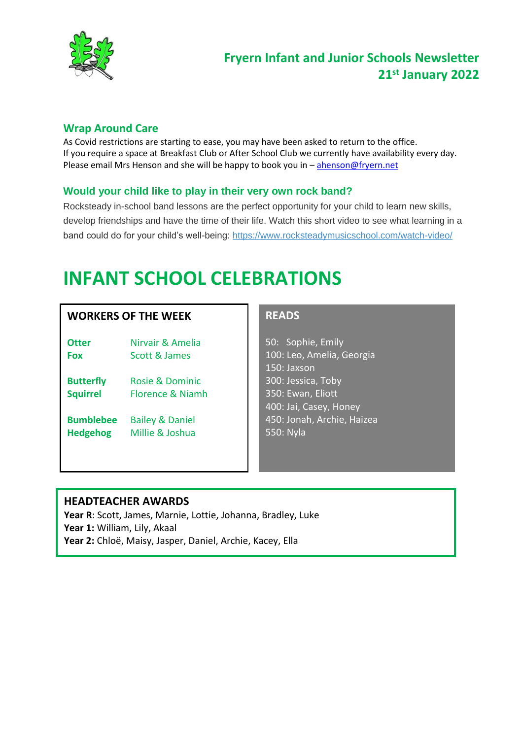

## **Fryern Infant and Junior Schools Newsletter 21st January 2022**

## **Wrap Around Care**

As Covid restrictions are starting to ease, you may have been asked to return to the office. If you require a space at Breakfast Club or After School Club we currently have availability every day. Please email Mrs Henson and she will be happy to book you in - [ahenson@fryern.net](mailto:ahenson@fryern.net)

## **Would your child like to play in their very own rock band?**

Rocksteady in-school band lessons are the perfect opportunity for your child to learn new skills, develop friendships and have the time of their life. Watch this short video to see what learning in a band could do for your child's well-being: <https://www.rocksteadymusicschool.com/watch-video/>

# **INFANT SCHOOL CELEBRATIONS**

## **WORKERS OF THE WEEK**

- **Otter** Nirvair & Amelia **Fox** Scott & James
- **Butterfly** Rosie & Dominic **Squirrel** Florence & Niamh
- **Bumblebee** Bailey & Daniel **Hedgehog** Millie & Joshua

## **READS**

50: Sophie, Emily 100: Leo, Amelia, Georgia 150: Jaxson 300: Jessica, Toby 350: Ewan, Eliott 400: Jai, Casey, Honey 450: Jonah, Archie, Haizea 550: Nyla

#### **HEADTEACHER AWARDS**

**Year R**: Scott, James, Marnie, Lottie, Johanna, Bradley, Luke **Year 1:** William, Lily, Akaal **Year 2:** Chloë, Maisy, Jasper, Daniel, Archie, Kacey, Ella